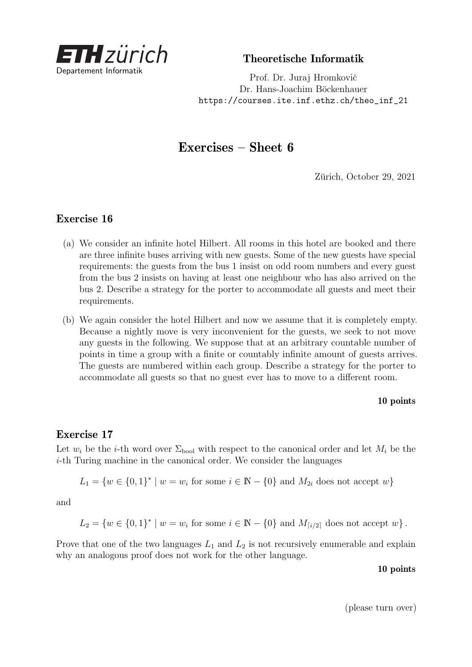

Theoretische Informatik

Prof. Dr. Juraj Hromkovič Dr. Hans-Joachim Böckenhauer [https://courses.ite.inf.ethz.ch/theo\\_inf\\_21](https://courses.ite.inf.ethz.ch/theo_inf_21)

# Exercises – Sheet 6

Zürich, October 29, 2021

# Exercise 16

- (a) We consider an infinite hotel Hilbert. All rooms in this hotel are booked and there are three infinite buses arriving with new guests. Some of the new guests have special requirements: the guests from the bus 1 insist on odd room numbers and every guest from the bus 2 insists on having at least one neighbour who has also arrived on the bus 2. Describe a strategy for the porter to accommodate all guests and meet their requirements.
- (b) We again consider the hotel Hilbert and now we assume that it is completely empty. Because a nightly move is very inconvenient for the guests, we seek to not move any guests in the following. We suppose that at an arbitrary countable number of points in time a group with a finite or countably infinite amount of guests arrives. The guests are numbered within each group. Describe a strategy for the porter to accommodate all guests so that no guest ever has to move to a different room.

### 10 points

## Exercise 17

Let  $w_i$  be the *i*-th word over  $\Sigma_{\text{bool}}$  with respect to the canonical order and let  $M_i$  be the *i*-th Turing machine in the canonical order. We consider the languages

$$
L_1 = \{w \in \{0,1\}^* \mid w = w_i \text{ for some } i \in \mathbb{N} - \{0\} \text{ and } M_{2i} \text{ does not accept } w\}
$$

and

$$
L_2 = \{ w \in \{0,1\}^* \mid w = w_i \text{ for some } i \in \mathbb{N} - \{0\} \text{ and } M_{\lceil i/2 \rceil} \text{ does not accept } w \}.
$$

Prove that one of the two languages  $L_1$  and  $L_2$  is not recursively enumerable and explain why an analogous proof does not work for the other language.

#### 10 points

(please turn over)